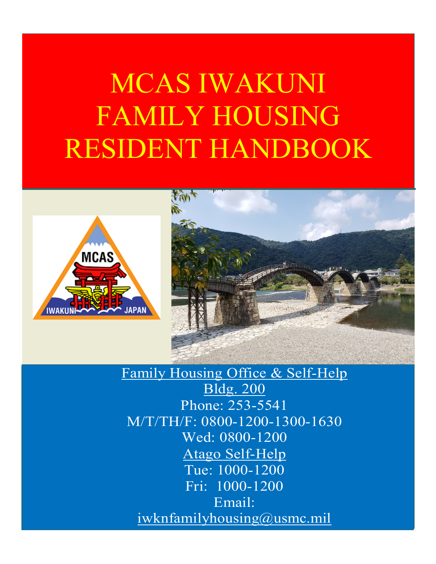# MCAS IWAKUNI FAMILY HOUSING RESIDENT HANDBOOK





## Family Housing Office & Self-Help Bldg. 200 Phone: 253-5541 M/T/TH/F: 0800-1200-1300-1630 Wed: 0800-1200 Atago Self-Help Tue: 1000-1200 Fri: 1000-1200 Email: [iwknfamilyhousing@usmc.mil](mailto:iwknfamilyhousing@usmc.mil)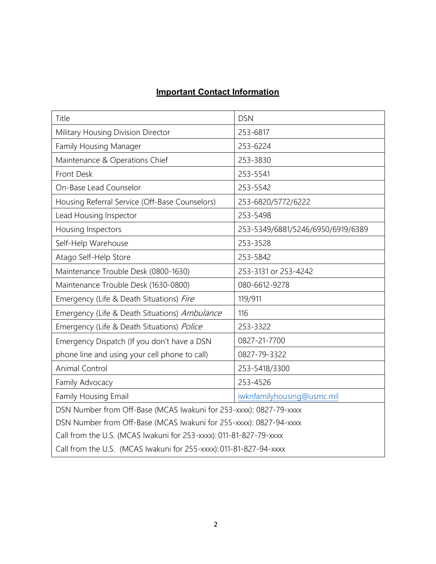### **Important Contact Information**

| Title                                                              | <b>DSN</b>                        |  |  |  |
|--------------------------------------------------------------------|-----------------------------------|--|--|--|
| Military Housing Division Director                                 | 253-6817                          |  |  |  |
| Family Housing Manager                                             | 253-6224                          |  |  |  |
| Maintenance & Operations Chief                                     | 253-3830                          |  |  |  |
| Front Desk                                                         | 253-5541                          |  |  |  |
| On-Base Lead Counselor                                             | 253-5542                          |  |  |  |
| Housing Referral Service (Off-Base Counselors)                     | 253-6820/5772/6222                |  |  |  |
| Lead Housing Inspector                                             | 253-5498                          |  |  |  |
| Housing Inspectors                                                 | 253-5349/6881/5246/6950/6919/6389 |  |  |  |
| Self-Help Warehouse                                                | 253-3528                          |  |  |  |
| Atago Self-Help Store                                              | 253-5842                          |  |  |  |
| Maintenance Trouble Desk (0800-1630)                               | 253-3131 or 253-4242              |  |  |  |
| Maintenance Trouble Desk (1630-0800)                               | 080-6612-9278                     |  |  |  |
| Emergency (Life & Death Situations) Fire                           | 119/911                           |  |  |  |
| Emergency (Life & Death Situations) Ambulance                      | 116                               |  |  |  |
| Emergency (Life & Death Situations) Police                         | 253-3322                          |  |  |  |
| Emergency Dispatch (If you don't have a DSN                        | 0827-21-7700                      |  |  |  |
| phone line and using your cell phone to call)                      | 0827-79-3322                      |  |  |  |
| Animal Control                                                     | 253-5418/3300                     |  |  |  |
| Family Advocacy                                                    | 253-4526                          |  |  |  |
| Family Housing Email                                               | iwknfamilyhousing@usmc.mil        |  |  |  |
| DSN Number from Off-Base (MCAS Iwakuni for 253-xxxx): 0827-79-xxxx |                                   |  |  |  |
| DSN Number from Off-Base (MCAS Iwakuni for 255-xxxx): 0827-94-xxxx |                                   |  |  |  |
| Call from the U.S. (MCAS Iwakuni for 253-xxxx): 011-81-827-79-xxxx |                                   |  |  |  |
| Call from the U.S. (MCAS Iwakuni for 255-xxxx): 011-81-827-94-xxxx |                                   |  |  |  |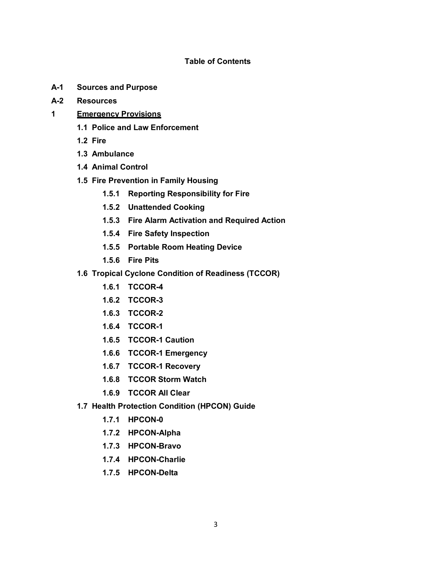#### **Table of Contents**

- **A-1 Sources and Purpose**
- **A-2 Resources**
- **1 Emergency Provisions**
	- **1.1 Police and Law Enforcement**
	- **1.2 Fire**
	- **1.3 Ambulance**
	- **1.4 Animal Control**
	- **1.5 Fire Prevention in Family Housing**
		- **1.5.1 Reporting Responsibility for Fire**
		- **1.5.2 Unattended Cooking**
		- **1.5.3 Fire Alarm Activation and Required Action**
		- **1.5.4 Fire Safety Inspection**
		- **1.5.5 Portable Room Heating Device**
		- **1.5.6 Fire Pits**
	- **1.6 Tropical Cyclone Condition of Readiness (TCCOR)**
		- **1.6.1 TCCOR-4**
		- **1.6.2 TCCOR-3**
		- **1.6.3 TCCOR-2**
		- **1.6.4 TCCOR-1**
		- **1.6.5 TCCOR-1 Caution**
		- **1.6.6 TCCOR-1 Emergency**
		- **1.6.7 TCCOR-1 Recovery**
		- **1.6.8 TCCOR Storm Watch**
		- **1.6.9 TCCOR All Clear**
	- **1.7 Health Protection Condition (HPCON) Guide**
		- **1.7.1 HPCON-0**
		- **1.7.2 HPCON-Alpha**
		- **1.7.3 HPCON-Bravo**
		- **1.7.4 HPCON-Charlie**
		- **1.7.5 HPCON-Delta**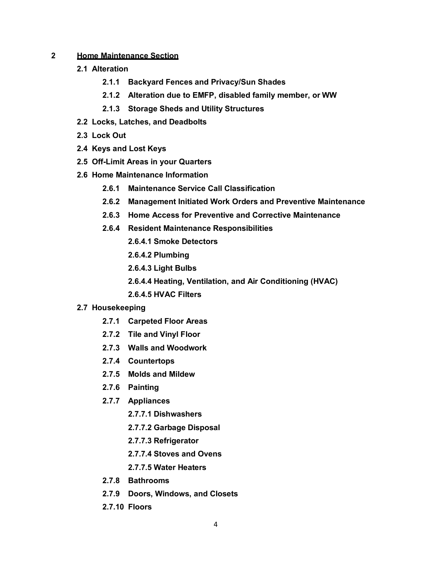#### **2 Home Maintenance Section**

- **2.1 Alteration**
	- **2.1.1 Backyard Fences and Privacy/Sun Shades**
	- **2.1.2 Alteration due to EMFP, disabled family member, or WW**
	- **2.1.3 Storage Sheds and Utility Structures**
- **2.2 Locks, Latches, and Deadbolts**
- **2.3 Lock Out**
- **2.4 Keys and Lost Keys**
- **2.5 Off-Limit Areas in your Quarters**
- **2.6 Home Maintenance Information**
	- **2.6.1 Maintenance Service Call Classification**
	- **2.6.2 Management Initiated Work Orders and Preventive Maintenance**
	- **2.6.3 Home Access for Preventive and Corrective Maintenance**
	- **2.6.4 Resident Maintenance Responsibilities**
		- **2.6.4.1 Smoke Detectors**
		- **2.6.4.2 Plumbing**
		- **2.6.4.3 Light Bulbs**
		- **2.6.4.4 Heating, Ventilation, and Air Conditioning (HVAC)**
		- **2.6.4.5 HVAC Filters**

#### **2.7 Housekeeping**

- **2.7.1 Carpeted Floor Areas**
- **2.7.2 Tile and Vinyl Floor**
- **2.7.3 Walls and Woodwork**
- **2.7.4 Countertops**
- **2.7.5 Molds and Mildew**
- **2.7.6 Painting**
- **2.7.7 Appliances**
	- **2.7.7.1 Dishwashers**
	- **2.7.7.2 Garbage Disposal**
	- **2.7.7.3 Refrigerator**
	- **2.7.7.4 Stoves and Ovens**
	- **2.7.7.5 Water Heaters**
- **2.7.8 Bathrooms**
- **2.7.9 Doors, Windows, and Closets**
- **2.7.10 Floors**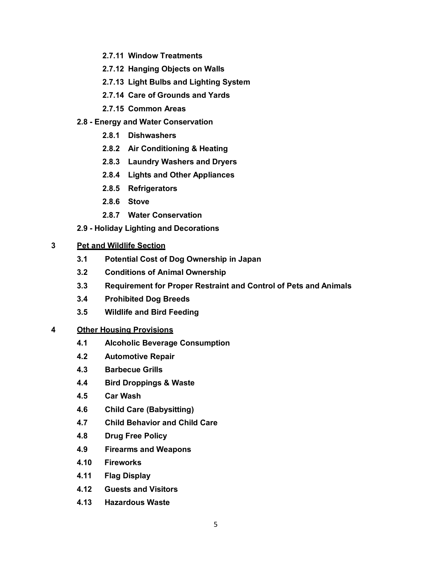- **2.7.11 Window Treatments**
- **2.7.12 Hanging Objects on Walls**
- **2.7.13 Light Bulbs and Lighting System**
- **2.7.14 Care of Grounds and Yards**
- **2.7.15 Common Areas**
- **2.8 - Energy and Water Conservation**
	- **2.8.1 Dishwashers**
	- **2.8.2 Air Conditioning & Heating**
	- **2.8.3 Laundry Washers and Dryers**
	- **2.8.4 Lights and Other Appliances**
	- **2.8.5 Refrigerators**
	- **2.8.6 Stove**
	- **2.8.7 Water Conservation**
- **2.9 - Holiday Lighting and Decorations**

#### **3 Pet and Wildlife Section**

- **3.1 Potential Cost of Dog Ownership in Japan**
- **3.2 Conditions of Animal Ownership**
- **3.3 Requirement for Proper Restraint and Control of Pets and Animals**
- **3.4 Prohibited Dog Breeds**
- **3.5 Wildlife and Bird Feeding**

#### **4 Other Housing Provisions**

- **4.1 Alcoholic Beverage Consumption**
- **4.2 Automotive Repair**
- **4.3 Barbecue Grills**
- **4.4 Bird Droppings & Waste**
- **4.5 Car Wash**
- **4.6 Child Care (Babysitting)**
- **4.7 Child Behavior and Child Care**
- **4.8 Drug Free Policy**
- **4.9 Firearms and Weapons**
- **4.10 Fireworks**
- **4.11 Flag Display**
- **4.12 Guests and Visitors**
- **4.13 Hazardous Waste**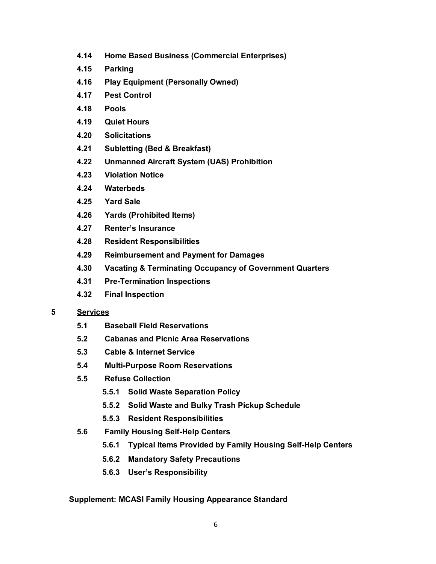- **4.14 Home Based Business (Commercial Enterprises)**
- **4.15 Parking**
- **4.16 Play Equipment (Personally Owned)**
- **4.17 Pest Control**
- **4.18 Pools**
- **4.19 Quiet Hours**
- **4.20 Solicitations**
- **4.21 Subletting (Bed & Breakfast)**
- **4.22 Unmanned Aircraft System (UAS) Prohibition**
- **4.23 Violation Notice**
- **4.24 Waterbeds**
- **4.25 Yard Sale**
- **4.26 Yards (Prohibited Items)**
- **4.27 Renter's Insurance**
- **4.28 Resident Responsibilities**
- **4.29 Reimbursement and Payment for Damages**
- **4.30 Vacating & Terminating Occupancy of Government Quarters**
- **4.31 Pre-Termination Inspections**
- **4.32 Final Inspection**

#### **5 Services**

- **5.1 Baseball Field Reservations**
- **5.2 Cabanas and Picnic Area Reservations**
- **5.3 Cable & Internet Service**
- **5.4 Multi-Purpose Room Reservations**
- **5.5 Refuse Collection**
	- **5.5.1 Solid Waste Separation Policy**
	- **5.5.2 Solid Waste and Bulky Trash Pickup Schedule**
	- **5.5.3 Resident Responsibilities**
- **5.6 Family Housing Self-Help Centers**
	- **5.6.1 Typical Items Provided by Family Housing Self-Help Centers**
	- **5.6.2 Mandatory Safety Precautions**
	- **5.6.3 User's Responsibility**

#### **Supplement: MCASI Family Housing Appearance Standard**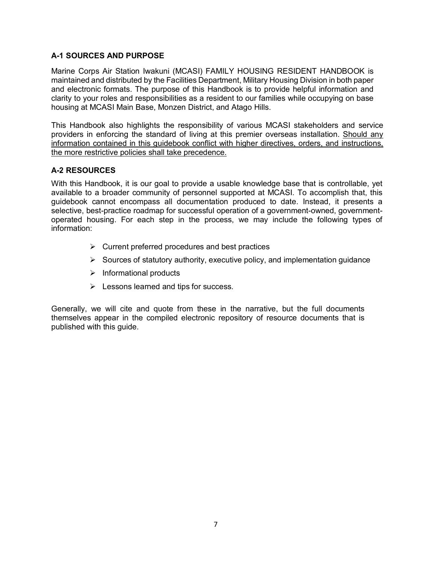#### **A-1 SOURCES AND PURPOSE**

Marine Corps Air Station Iwakuni (MCASI) FAMILY HOUSING RESIDENT HANDBOOK is maintained and distributed by the Facilities Department, Military Housing Division in both paper and electronic formats. The purpose of this Handbook is to provide helpful information and clarity to your roles and responsibilities as a resident to our families while occupying on base housing at MCASI Main Base, Monzen District, and Atago Hills.

This Handbook also highlights the responsibility of various MCASI stakeholders and service providers in enforcing the standard of living at this premier overseas installation. Should any information contained in this guidebook conflict with higher directives, orders, and instructions, the more restrictive policies shall take precedence.

#### **A-2 RESOURCES**

With this Handbook, it is our goal to provide a usable knowledge base that is controllable, yet available to a broader community of personnel supported at MCASI. To accomplish that, this guidebook cannot encompass all documentation produced to date. Instead, it presents a selective, best-practice roadmap for successful operation of a government-owned, governmentoperated housing. For each step in the process, we may include the following types of information:

- $\triangleright$  Current preferred procedures and best practices
- $\triangleright$  Sources of statutory authority, executive policy, and implementation guidance
- $\triangleright$  Informational products
- $\triangleright$  Lessons learned and tips for success.

Generally, we will cite and quote from these in the narrative, but the full documents themselves appear in the compiled electronic repository of resource documents that is published with this guide.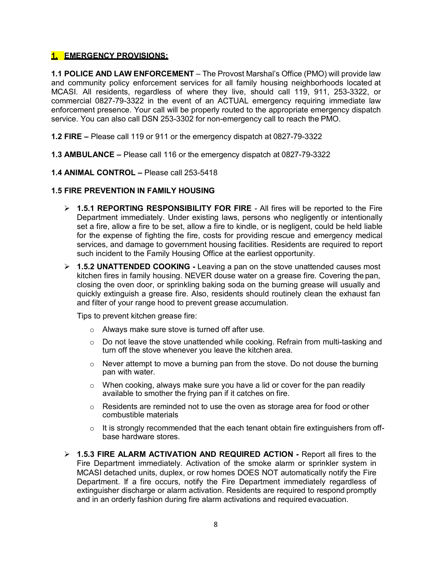#### **1. EMERGENCY PROVISIONS:**

**1.1 POLICE AND LAW ENFORCEMENT** – The Provost Marshal's Office (PMO) will provide law and community policy enforcement services for all family housing neighborhoods located at MCASI. All residents, regardless of where they live, should call 119, 911, 253-3322, or commercial 0827-79-3322 in the event of an ACTUAL emergency requiring immediate law enforcement presence. Your call will be properly routed to the appropriate emergency dispatch service. You can also call DSN 253-3302 for non-emergency call to reach the PMO.

- **1.2 FIRE –** Please call 119 or 911 or the emergency dispatch at 0827-79-3322
- **1.3 AMBULANCE –** Please call 116 or the emergency dispatch at 0827-79-3322
- **1.4 ANIMAL CONTROL –** Please call 253-5418

#### **1.5 FIRE PREVENTION IN FAMILY HOUSING**

- **1.5.1 REPORTING RESPONSIBILITY FOR FIRE**  All fires will be reported to the Fire Department immediately. Under existing laws, persons who negligently or intentionally set a fire, allow a fire to be set, allow a fire to kindle, or is negligent, could be held liable for the expense of fighting the fire, costs for providing rescue and emergency medical services, and damage to government housing facilities. Residents are required to report such incident to the Family Housing Office at the earliest opportunity.
- **1.5.2 UNATTENDED COOKING -** Leaving a pan on the stove unattended causes most kitchen fires in family housing. NEVER douse water on a grease fire. Covering the pan, closing the oven door, or sprinkling baking soda on the burning grease will usually and quickly extinguish a grease fire. Also, residents should routinely clean the exhaust fan and filter of your range hood to prevent grease accumulation.

Tips to prevent kitchen grease fire:

- o Always make sure stove is turned off after use.
- $\circ$  Do not leave the stove unattended while cooking. Refrain from multi-tasking and turn off the stove whenever you leave the kitchen area.
- $\circ$  Never attempt to move a burning pan from the stove. Do not douse the burning pan with water.
- $\circ$  When cooking, always make sure you have a lid or cover for the pan readily available to smother the frying pan if it catches on fire.
- $\circ$  Residents are reminded not to use the oven as storage area for food or other combustible materials
- $\circ$  It is strongly recommended that the each tenant obtain fire extinguishers from offbase hardware stores.
- **1.5.3 FIRE ALARM ACTIVATION AND REQUIRED ACTION -** Report all fires to the Fire Department immediately. Activation of the smoke alarm or sprinkler system in MCASI detached units, duplex, or row homes DOES NOT automatically notify the Fire Department. If a fire occurs, notify the Fire Department immediately regardless of extinguisher discharge or alarm activation. Residents are required to respond promptly and in an orderly fashion during fire alarm activations and required evacuation.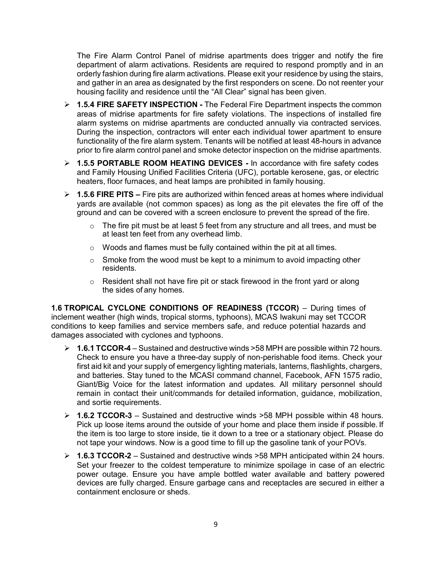The Fire Alarm Control Panel of midrise apartments does trigger and notify the fire department of alarm activations. Residents are required to respond promptly and in an orderly fashion during fire alarm activations. Please exit your residence by using the stairs, and gather in an area as designated by the first responders on scene. Do not reenter your housing facility and residence until the "All Clear" signal has been given.

- **1.5.4 FIRE SAFETY INSPECTION -** The Federal Fire Department inspects the common areas of midrise apartments for fire safety violations. The inspections of installed fire alarm systems on midrise apartments are conducted annually via contracted services. During the inspection, contractors will enter each individual tower apartment to ensure functionality of the fire alarm system. Tenants will be notified at least 48-hours in advance prior to fire alarm control panel and smoke detector inspection on the midrise apartments.
- **1.5.5 PORTABLE ROOM HEATING DEVICES -** In accordance with fire safety codes and Family Housing Unified Facilities Criteria (UFC), portable kerosene, gas, or electric heaters, floor furnaces, and heat lamps are prohibited in family housing.
- **1.5.6 FIRE PITS –** Fire pits are authorized within fenced areas at homes where individual yards are available (not common spaces) as long as the pit elevates the fire off of the ground and can be covered with a screen enclosure to prevent the spread of the fire.
	- $\circ$  The fire pit must be at least 5 feet from any structure and all trees, and must be at least ten feet from any overhead limb.
	- $\circ$  Woods and flames must be fully contained within the pit at all times.
	- $\circ$  Smoke from the wood must be kept to a minimum to avoid impacting other residents.
	- $\circ$  Resident shall not have fire pit or stack firewood in the front yard or along the sides of any homes.

**1.6 TROPICAL CYCLONE CONDITIONS OF READINESS (TCCOR)** – During times of inclement weather (high winds, tropical storms, typhoons), MCAS Iwakuni may set TCCOR conditions to keep families and service members safe, and reduce potential hazards and damages associated with cyclones and typhoons.

- **1.6.1 TCCOR-4**  Sustained and destructive winds >58 MPH are possible within 72 hours. Check to ensure you have a three-day supply of non-perishable food items. Check your first aid kit and your supply of emergency lighting materials, lanterns, flashlights, chargers, and batteries. Stay tuned to the MCASI command channel, Facebook, AFN 1575 radio, Giant/Big Voice for the latest information and updates. All military personnel should remain in contact their unit/commands for detailed information, guidance, mobilization, and sortie requirements.
- **1.6.2 TCCOR-3**  Sustained and destructive winds >58 MPH possible within 48 hours. Pick up loose items around the outside of your home and place them inside if possible. If the item is too large to store inside, tie it down to a tree or a stationary object. Please do not tape your windows. Now is a good time to fill up the gasoline tank of your POVs.
- **1.6.3 TCCOR-2**  Sustained and destructive winds >58 MPH anticipated within 24 hours. Set your freezer to the coldest temperature to minimize spoilage in case of an electric power outage. Ensure you have ample bottled water available and battery powered devices are fully charged. Ensure garbage cans and receptacles are secured in either a containment enclosure or sheds.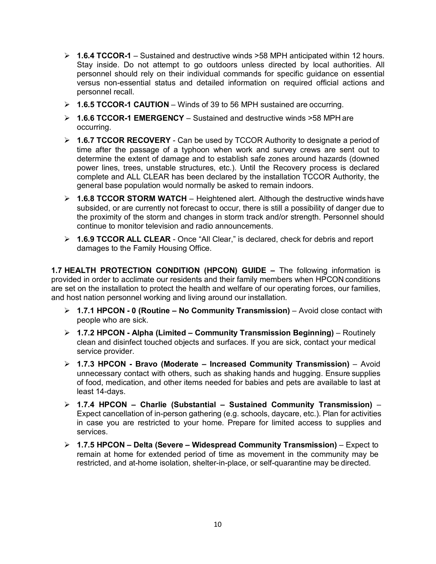- **1.6.4 TCCOR-1**  Sustained and destructive winds >58 MPH anticipated within 12 hours. Stay inside. Do not attempt to go outdoors unless directed by local authorities. All personnel should rely on their individual commands for specific guidance on essential versus non-essential status and detailed information on required official actions and personnel recall.
- **1.6.5 TCCOR-1 CAUTION**  Winds of 39 to 56 MPH sustained are occurring.
- **1.6.6 TCCOR-1 EMERGENCY**  Sustained and destructive winds >58 MPH are occurring.
- **1.6.7 TCCOR RECOVERY**  Can be used by TCCOR Authority to designate a period of time after the passage of a typhoon when work and survey crews are sent out to determine the extent of damage and to establish safe zones around hazards (downed power lines, trees, unstable structures, etc.). Until the Recovery process is declared complete and ALL CLEAR has been declared by the installation TCCOR Authority, the general base population would normally be asked to remain indoors.
- **1.6.8 TCCOR STORM WATCH**  Heightened alert. Although the destructive winds have subsided, or are currently not forecast to occur, there is still a possibility of danger due to the proximity of the storm and changes in storm track and/or strength. Personnel should continue to monitor television and radio announcements.
- **1.6.9 TCCOR ALL CLEAR**  Once "All Clear," is declared, check for debris and report damages to the Family Housing Office.

**1.7 HEALTH PROTECTION CONDITION (HPCON) GUIDE –** The following information is provided in order to acclimate our residents and their family members when HPCON conditions are set on the installation to protect the health and welfare of our operating forces, our families, and host nation personnel working and living around our installation.

- **1.7.1 HPCON - 0 (Routine – No Community Transmission)**  Avoid close contact with people who are sick.
- **1.7.2 HPCON - Alpha (Limited – Community Transmission Beginning)**  Routinely clean and disinfect touched objects and surfaces. If you are sick, contact your medical service provider.
- **1.7.3 HPCON - Bravo (Moderate – Increased Community Transmission)**  Avoid unnecessary contact with others, such as shaking hands and hugging. Ensure supplies of food, medication, and other items needed for babies and pets are available to last at least 14-days.
- **1.7.4 HPCON – Charlie (Substantial – Sustained Community Transmission)**  Expect cancellation of in-person gathering (e.g. schools, daycare, etc.). Plan for activities in case you are restricted to your home. Prepare for limited access to supplies and services.
- **1.7.5 HPCON – Delta (Severe – Widespread Community Transmission)**  Expect to remain at home for extended period of time as movement in the community may be restricted, and at-home isolation, shelter-in-place, or self-quarantine may be directed.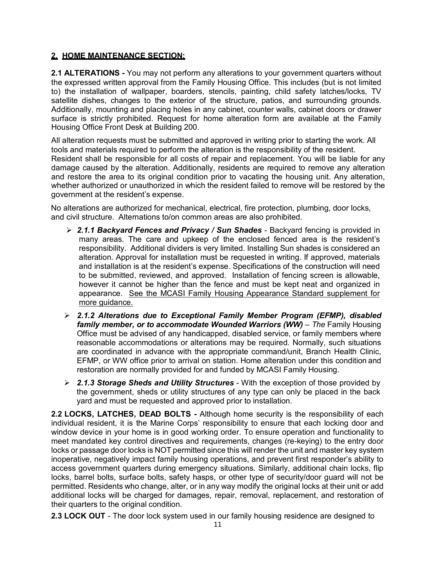#### **2. HOME MAINTENANCE SECTION:**

**2.1 ALTERATIONS -** You may not perform any alterations to your government quarters without the expressed written approval from the Family Housing Office. This includes (but is not limited to) the installation of wallpaper, boarders, stencils, painting, child safety latches/locks, TV satellite dishes, changes to the exterior of the structure, patios, and surrounding grounds. Additionally, mounting and placing holes in any cabinet, counter walls, cabinet doors or drawer surface is strictly prohibited. Request for home alteration form are available at the Family Housing Office Front Desk at Building 200.

All alteration requests must be submitted and approved in writing prior to starting the work. All tools and materials required to perform the alteration is the responsibility of the resident. Resident shall be responsible for all costs of repair and replacement. You will be liable for any damage caused by the alteration. Additionally, residents are required to remove any alteration and restore the area to its original condition prior to vacating the housing unit. Any alteration, whether authorized or unauthorized in which the resident failed to remove will be restored by the government at the resident's expense.

No alterations are authorized for mechanical, electrical, fire protection, plumbing, door locks, and civil structure. Alternations to/on common areas are also prohibited.

- *2.1.1 Backyard Fences and Privacy / Sun Shades*  Backyard fencing is provided in many areas. The care and upkeep of the enclosed fenced area is the resident's responsibility. Additional dividers is very limited. Installing Sun shades is considered an alteration. Approval for installation must be requested in writing. If approved, materials and installation is at the resident's expense. Specifications of the construction will need to be submitted, reviewed, and approved. Installation of fencing screen is allowable, however it cannot be higher than the fence and must be kept neat and organized in appearance. See the MCASI Family Housing Appearance Standard supplement for more guidance.
- *2.1.2 Alterations due to Exceptional Family Member Program (EFMP), disabled family member, or to accommodate Wounded Warriors (WW) – The Family Housing* Office must be advised of any handicapped, disabled service, or family members where reasonable accommodations or alterations may be required. Normally, such situations are coordinated in advance with the appropriate command/unit, Branch Health Clinic, EFMP, or WW office prior to arrival on station. Home alteration under this condition and restoration are normally provided for and funded by MCASI Family Housing.
- *2.1.3 Storage Sheds and Utility Structures*  With the exception of those provided by the government, sheds or utility structures of any type can only be placed in the back yard and must be requested and approved prior to installation.

**2.2 LOCKS, LATCHES, DEAD BOLTS -** Although home security is the responsibility of each individual resident, it is the Marine Corps' responsibility to ensure that each locking door and window device in your home is in good working order. To ensure operation and functionality to meet mandated key control directives and requirements, changes (re-keying) to the entry door locks or passage door locks is NOT permitted since this will render the unit and master key system inoperative, negatively impact family housing operations, and prevent first responder's ability to access government quarters during emergency situations. Similarly, additional chain locks, flip locks, barrel bolts, surface bolts, safety hasps, or other type of security/door guard will not be permitted. Residents who change, alter, or in any way modify the original locks at their unit or add additional locks will be charged for damages, repair, removal, replacement, and restoration of their quarters to the original condition.

**2.3 LOCK OUT** - The door lock system used in our family housing residence are designed to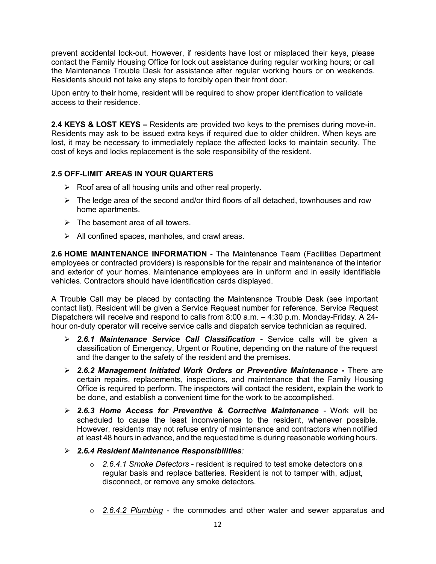prevent accidental lock-out. However, if residents have lost or misplaced their keys, please contact the Family Housing Office for lock out assistance during regular working hours; or call the Maintenance Trouble Desk for assistance after regular working hours or on weekends. Residents should not take any steps to forcibly open their front door.

Upon entry to their home, resident will be required to show proper identification to validate access to their residence.

**2.4 KEYS & LOST KEYS –** Residents are provided two keys to the premises during move-in. Residents may ask to be issued extra keys if required due to older children. When keys are lost, it may be necessary to immediately replace the affected locks to maintain security. The cost of keys and locks replacement is the sole responsibility of the resident.

#### **2.5 OFF-LIMIT AREAS IN YOUR QUARTERS**

- $\triangleright$  Roof area of all housing units and other real property.
- $\triangleright$  The ledge area of the second and/or third floors of all detached, townhouses and row home apartments.
- $\triangleright$  The basement area of all towers.
- $\triangleright$  All confined spaces, manholes, and crawl areas.

**2.6 HOME MAINTENANCE INFORMATION** - The Maintenance Team (Facilities Department employees or contracted providers) is responsible for the repair and maintenance of the interior and exterior of your homes. Maintenance employees are in uniform and in easily identifiable vehicles. Contractors should have identification cards displayed.

A Trouble Call may be placed by contacting the Maintenance Trouble Desk (see important contact list). Resident will be given a Service Request number for reference. Service Request Dispatchers will receive and respond to calls from 8:00 a.m. – 4:30 p.m. Monday-Friday. A 24 hour on-duty operator will receive service calls and dispatch service technician as required.

- *2.6.1 Maintenance Service Call Classification* **-** Service calls will be given a classification of Emergency, Urgent or Routine, depending on the nature of the request and the danger to the safety of the resident and the premises.
- *2.6.2 Management Initiated Work Orders or Preventive Maintenance* **-** There are certain repairs, replacements, inspections, and maintenance that the Family Housing Office is required to perform. The inspectors will contact the resident, explain the work to be done, and establish a convenient time for the work to be accomplished.
- *2.6.3 Home Access for Preventive & Corrective Maintenance -* Work will be scheduled to cause the least inconvenience to the resident, whenever possible. However, residents may not refuse entry of maintenance and contractors when notified at least 48 hours in advance, and the requested time is during reasonable working hours.
- *2.6.4 Resident Maintenance Responsibilities:*
	- o *2.6.4.1 Smoke Detectors* resident is required to test smoke detectors on a regular basis and replace batteries. Resident is not to tamper with, adjust, disconnect, or remove any smoke detectors.
	- o *2.6.4.2 Plumbing* the commodes and other water and sewer apparatus and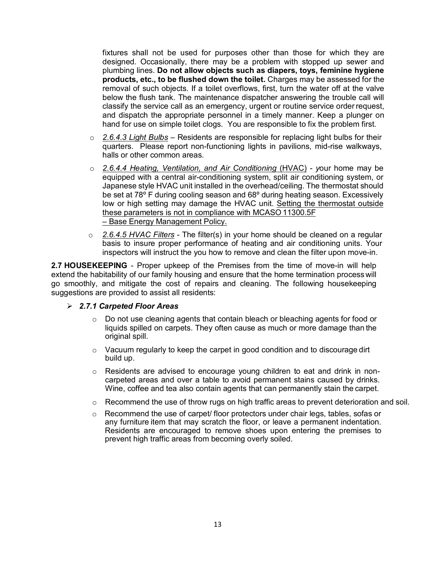fixtures shall not be used for purposes other than those for which they are designed. Occasionally, there may be a problem with stopped up sewer and plumbing lines. **Do not allow objects such as diapers, toys, feminine hygiene products, etc., to be flushed down the toilet.** Charges may be assessed for the removal of such objects. If a toilet overflows, first, turn the water off at the valve below the flush tank. The maintenance dispatcher answering the trouble call will classify the service call as an emergency, urgent or routine service order request, and dispatch the appropriate personnel in a timely manner. Keep a plunger on hand for use on simple toilet clogs. You are responsible to fix the problem first.

- o *2.6.4.3 Light Bulbs –* Residents are responsible for replacing light bulbs for their quarters. Please report non-functioning lights in pavilions, mid-rise walkways, halls or other common areas.
- o *2.6.4.4 Heating, Ventilation, and Air Conditioning* (HVAC) *y*our home may be equipped with a central air-conditioning system, split air conditioning system, or Japanese style HVAC unit installed in the overhead/ceiling. The thermostat should be set at 78<sup>°</sup> F during cooling season and 68<sup>°</sup> during heating season. Excessively low or high setting may damage the HVAC unit. Setting the thermostat outside these parameters is not in compliance with MCASO 11300.5F – Base Energy Management Policy.
- o *2.6.4.5 HVAC Filters* The filter(s) in your home should be cleaned on a regular basis to insure proper performance of heating and air conditioning units. Your inspectors will instruct the you how to remove and clean the filter upon move-in.

**2.7 HOUSEKEEPING** - Proper upkeep of the Premises from the time of move-in will help extend the habitability of our family housing and ensure that the home termination process will go smoothly, and mitigate the cost of repairs and cleaning. The following housekeeping suggestions are provided to assist all residents:

#### *2.7.1 Carpeted Floor Areas*

- $\circ$  Do not use cleaning agents that contain bleach or bleaching agents for food or liquids spilled on carpets. They often cause as much or more damage than the original spill.
- $\circ$  Vacuum regularly to keep the carpet in good condition and to discourage dirt build up.
- $\circ$  Residents are advised to encourage young children to eat and drink in noncarpeted areas and over a table to avoid permanent stains caused by drinks. Wine, coffee and tea also contain agents that can permanently stain the carpet.
- $\circ$  Recommend the use of throw rugs on high traffic areas to prevent deterioration and soil.
- o Recommend the use of carpet/ floor protectors under chair legs, tables, sofas or any furniture item that may scratch the floor, or leave a permanent indentation. Residents are encouraged to remove shoes upon entering the premises to prevent high traffic areas from becoming overly soiled.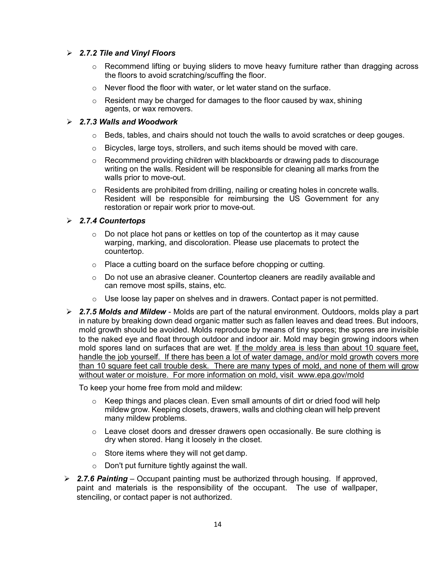#### *2.7.2 Tile and Vinyl Floors*

- o Recommend lifting or buying sliders to move heavy furniture rather than dragging across the floors to avoid scratching/scuffing the floor.
- o Never flood the floor with water, or let water stand on the surface.
- $\circ$  Resident may be charged for damages to the floor caused by wax, shining agents, or wax removers.

#### *2.7.3 Walls and Woodwork*

- $\circ$  Beds, tables, and chairs should not touch the walls to avoid scratches or deep gouges.
- $\circ$  Bicycles, large toys, strollers, and such items should be moved with care.
- o Recommend providing children with blackboards or drawing pads to discourage writing on the walls. Resident will be responsible for cleaning all marks from the walls prior to move-out.
- o Residents are prohibited from drilling, nailing or creating holes in concrete walls. Resident will be responsible for reimbursing the US Government for any restoration or repair work prior to move-out.

#### *2.7.4 Countertops*

- $\circ$  Do not place hot pans or kettles on top of the countertop as it may cause warping, marking, and discoloration. Please use placemats to protect the countertop.
- o Place a cutting board on the surface before chopping or cutting.
- $\circ$  Do not use an abrasive cleaner. Countertop cleaners are readily available and can remove most spills, stains, etc.
- $\circ$  Use loose lay paper on shelves and in drawers. Contact paper is not permitted.
- *2.7.5 Molds and Mildew*  Molds are part of the natural environment. Outdoors, molds play a part in nature by breaking down dead organic matter such as fallen leaves and dead trees. But indoors, mold growth should be avoided. Molds reproduce by means of tiny spores; the spores are invisible to the naked eye and float through outdoor and indoor air. Mold may begin growing indoors when mold spores land on surfaces that are wet. If the moldy area is less than about 10 square feet, handle the job yourself. If there has been a lot of water damage, and/or mold growth covers more than 10 square feet call trouble desk. There are many types of mold, and none of them will grow without water or moisture. For more information on mold, visit www.epa.gov/mold

To keep your home free from mold and mildew:

- $\circ$  Keep things and places clean. Even small amounts of dirt or dried food will help mildew grow. Keeping closets, drawers, walls and clothing clean will help prevent many mildew problems.
- $\circ$  Leave closet doors and dresser drawers open occasionally. Be sure clothing is dry when stored. Hang it loosely in the closet.
- $\circ$  Store items where they will not get damp.
- o Don't put furniture tightly against the wall.
- *2.7.6 Painting*  Occupant painting must be authorized through housing. If approved, paint and materials is the responsibility of the occupant. The use of wallpaper, stenciling, or contact paper is not authorized.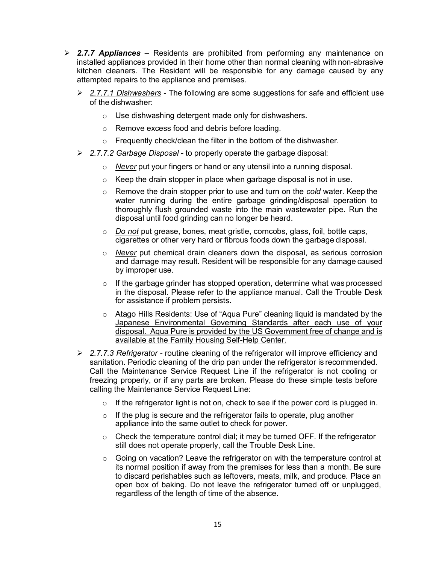- *2.7.7 Appliances*  Residents are prohibited from performing any maintenance on installed appliances provided in their home other than normal cleaning with non-abrasive kitchen cleaners. The Resident will be responsible for any damage caused by any attempted repairs to the appliance and premises.
	- *2.7.7.1 Dishwashers* The following are some suggestions for safe and efficient use of the dishwasher:
		- o Use dishwashing detergent made only for dishwashers.
		- o Remove excess food and debris before loading.
		- $\circ$  Frequently check/clean the filter in the bottom of the dishwasher.
	- *2.7.7.2 Garbage Disposal -* to properly operate the garbage disposal:
		- o *Never* put your fingers or hand or any utensil into a running disposal.
		- $\circ$  Keep the drain stopper in place when garbage disposal is not in use.
		- o Remove the drain stopper prior to use and turn on the *cold* water. Keep the water running during the entire garbage grinding/disposal operation to thoroughly flush grounded waste into the main wastewater pipe. Run the disposal until food grinding can no longer be heard.
		- o *Do not* put grease, bones, meat gristle, corncobs, glass, foil, bottle caps, cigarettes or other very hard or fibrous foods down the garbage disposal.
		- o *Never* put chemical drain cleaners down the disposal, as serious corrosion and damage may result. Resident will be responsible for any damage caused by improper use.
		- $\circ$  If the garbage grinder has stopped operation, determine what was processed in the disposal. Please refer to the appliance manual. Call the Trouble Desk for assistance if problem persists.
		- o Atago Hills Residents: Use of "Aqua Pure" cleaning liquid is mandated by the Japanese Environmental Governing Standards after each use of your disposal. Aqua Pure is provided by the US Government free of change and is available at the Family Housing Self-Help Center.
	- *2.7.7.3 Refrigerator -* routine cleaning of the refrigerator will improve efficiency and sanitation. Periodic cleaning of the drip pan under the refrigerator is recommended. Call the Maintenance Service Request Line if the refrigerator is not cooling or freezing properly, or if any parts are broken. Please do these simple tests before calling the Maintenance Service Request Line:
		- $\circ$  If the refrigerator light is not on, check to see if the power cord is plugged in.
		- $\circ$  If the plug is secure and the refrigerator fails to operate, plug another appliance into the same outlet to check for power.
		- $\circ$  Check the temperature control dial; it may be turned OFF. If the refrigerator still does not operate properly, call the Trouble Desk Line.
		- $\circ$  Going on vacation? Leave the refrigerator on with the temperature control at its normal position if away from the premises for less than a month. Be sure to discard perishables such as leftovers, meats, milk, and produce. Place an open box of baking. Do not leave the refrigerator turned off or unplugged, regardless of the length of time of the absence.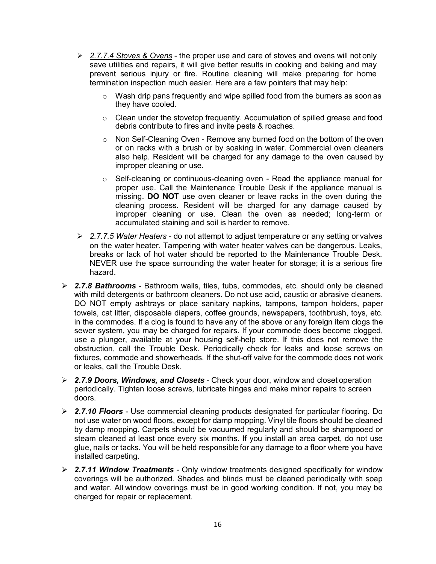- *2.7.7.4 Stoves & Ovens* the proper use and care of stoves and ovens will not only save utilities and repairs, it will give better results in cooking and baking and may prevent serious injury or fire. Routine cleaning will make preparing for home termination inspection much easier. Here are a few pointers that may help:
	- $\circ$  Wash drip pans frequently and wipe spilled food from the burners as soon as they have cooled.
	- o Clean under the stovetop frequently. Accumulation of spilled grease and food debris contribute to fires and invite pests & roaches.
	- $\circ$  Non Self-Cleaning Oven Remove any burned food on the bottom of the oven or on racks with a brush or by soaking in water. Commercial oven cleaners also help. Resident will be charged for any damage to the oven caused by improper cleaning or use.
	- $\circ$  Self-cleaning or continuous-cleaning oven Read the appliance manual for proper use. Call the Maintenance Trouble Desk if the appliance manual is missing. **DO NOT** use oven cleaner or leave racks in the oven during the cleaning process. Resident will be charged for any damage caused by improper cleaning or use. Clean the oven as needed; long-term or accumulated staining and soil is harder to remove.
- *2.7.7.5 Water Heaters* do not attempt to adjust temperature or any setting or valves on the water heater. Tampering with water heater valves can be dangerous. Leaks, breaks or lack of hot water should be reported to the Maintenance Trouble Desk. NEVER use the space surrounding the water heater for storage; it is a serious fire hazard.
- *2.7.8 Bathrooms*  Bathroom walls, tiles, tubs, commodes, etc. should only be cleaned with mild detergents or bathroom cleaners. Do not use acid, caustic or abrasive cleaners. DO NOT empty ashtrays or place sanitary napkins, tampons, tampon holders, paper towels, cat litter, disposable diapers, coffee grounds, newspapers, toothbrush, toys, etc. in the commodes. If a clog is found to have any of the above or any foreign item clogs the sewer system, you may be charged for repairs. If your commode does become clogged, use a plunger, available at your housing self-help store. If this does not remove the obstruction, call the Trouble Desk. Periodically check for leaks and loose screws on fixtures, commode and showerheads. If the shut-off valve for the commode does not work or leaks, call the Trouble Desk.
- *2.7.9 Doors, Windows, and Closets*  Check your door, window and closet operation periodically. Tighten loose screws, lubricate hinges and make minor repairs to screen doors.
- *2.7.10 Floors*  Use commercial cleaning products designated for particular flooring. Do not use water on wood floors, except for damp mopping. Vinyl tile floors should be cleaned by damp mopping. Carpets should be vacuumed regularly and should be shampooed or steam cleaned at least once every six months. If you install an area carpet, do not use glue, nails or tacks. You will be held responsible for any damage to a floor where you have installed carpeting.
- *2.7.11 Window Treatments*  Only window treatments designed specifically for window coverings will be authorized. Shades and blinds must be cleaned periodically with soap and water. All window coverings must be in good working condition. If not, you may be charged for repair or replacement.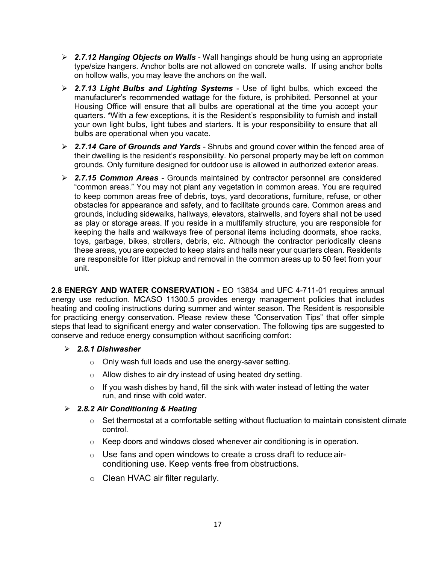- *2.7.12 Hanging Objects on Walls*  Wall hangings should be hung using an appropriate type/size hangers. Anchor bolts are not allowed on concrete walls. If using anchor bolts on hollow walls, you may leave the anchors on the wall.
- *2.7.13 Light Bulbs and Lighting Systems*  Use of light bulbs, which exceed the manufacturer's recommended wattage for the fixture, is prohibited. Personnel at your Housing Office will ensure that all bulbs are operational at the time you accept your quarters. \*With a few exceptions, it is the Resident's responsibility to furnish and install your own light bulbs, light tubes and starters. It is your responsibility to ensure that all bulbs are operational when you vacate.
- *2.7.14 Care of Grounds and Yards*  Shrubs and ground cover within the fenced area of their dwelling is the resident's responsibility. No personal property maybe left on common grounds. Only furniture designed for outdoor use is allowed in authorized exterior areas.
- *2.7.15 Common Areas*  Grounds maintained by contractor personnel are considered "common areas." You may not plant any vegetation in common areas. You are required to keep common areas free of debris, toys, yard decorations, furniture, refuse, or other obstacles for appearance and safety, and to facilitate grounds care. Common areas and grounds, including sidewalks, hallways, elevators, stairwells, and foyers shall not be used as play or storage areas. If you reside in a multifamily structure, you are responsible for keeping the halls and walkways free of personal items including doormats, shoe racks, toys, garbage, bikes, strollers, debris, etc. Although the contractor periodically cleans these areas, you are expected to keep stairs and halls near your quarters clean. Residents are responsible for litter pickup and removal in the common areas up to 50 feet from your unit.

**2.8 ENERGY AND WATER CONSERVATION -** EO 13834 and UFC 4-711-01 requires annual energy use reduction. MCASO 11300.5 provides energy management policies that includes heating and cooling instructions during summer and winter season. The Resident is responsible for practicing energy conservation. Please review these "Conservation Tips" that offer simple steps that lead to significant energy and water conservation. The following tips are suggested to conserve and reduce energy consumption without sacrificing comfort:

#### *2.8.1 Dishwasher*

- o Only wash full loads and use the energy-saver setting.
- o Allow dishes to air dry instead of using heated dry setting.
- $\circ$  If you wash dishes by hand, fill the sink with water instead of letting the water run, and rinse with cold water.

#### *2.8.2 Air Conditioning & Heating*

- $\circ$  Set thermostat at a comfortable setting without fluctuation to maintain consistent climate control.
- $\circ$  Keep doors and windows closed whenever air conditioning is in operation.
- $\circ$  Use fans and open windows to create a cross draft to reduce airconditioning use. Keep vents free from obstructions.
- o Clean HVAC air filter regularly.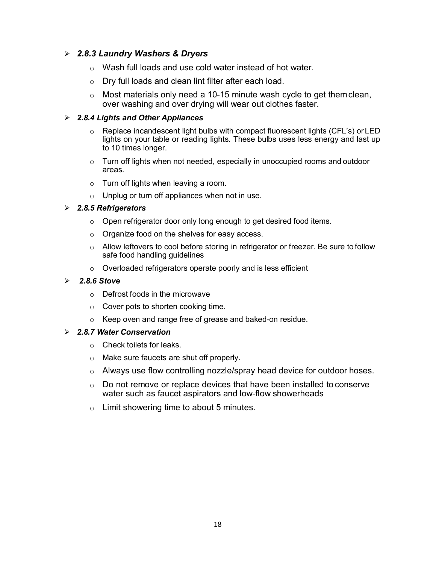#### *2.8.3 Laundry Washers & Dryers*

- o Wash full loads and use cold water instead of hot water.
- o Dry full loads and clean lint filter after each load.
- $\circ$  Most materials only need a 10-15 minute wash cycle to get them clean, over washing and over drying will wear out clothes faster.

#### *2.8.4 Lights and Other Appliances*

- $\circ$  Replace incandescent light bulbs with compact fluorescent lights (CFL's) or LED lights on your table or reading lights. These bulbs uses less energy and last up to 10 times longer.
- $\circ$  Turn off lights when not needed, especially in unoccupied rooms and outdoor areas.
- o Turn off lights when leaving a room.
- $\circ$  Unplug or turn off appliances when not in use.

#### *2.8.5 Refrigerators*

- $\circ$  Open refrigerator door only long enough to get desired food items.
- o Organize food on the shelves for easy access.
- o Allow leftovers to cool before storing in refrigerator or freezer. Be sure to follow safe food handling guidelines
- o Overloaded refrigerators operate poorly and is less efficient

#### *2.8.6 Stove*

- o Defrost foods in the microwave
- o Cover pots to shorten cooking time.
- o Keep oven and range free of grease and baked-on residue.

#### *2.8.7 Water Conservation*

- o Check toilets for leaks.
- o Make sure faucets are shut off properly.
- o Always use flow controlling nozzle/spray head device for outdoor hoses.
- o Do not remove or replace devices that have been installed to conserve water such as faucet aspirators and low-flow showerheads
- $\circ$  Limit showering time to about 5 minutes.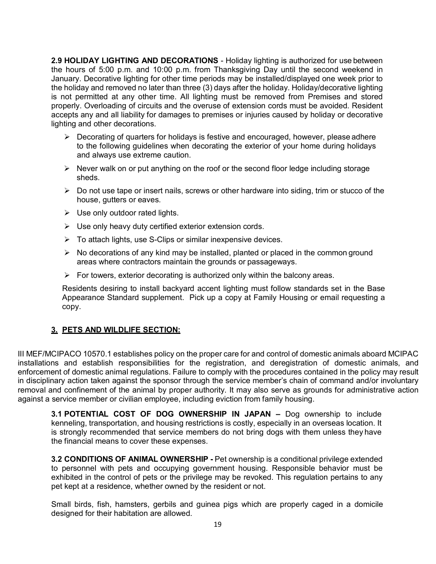**2.9 HOLIDAY LIGHTING AND DECORATIONS** - Holiday lighting is authorized for use between the hours of 5:00 p.m. and 10:00 p.m. from Thanksgiving Day until the second weekend in January. Decorative lighting for other time periods may be installed/displayed one week prior to the holiday and removed no later than three (3) days after the holiday. Holiday/decorative lighting is not permitted at any other time. All lighting must be removed from Premises and stored properly. Overloading of circuits and the overuse of extension cords must be avoided. Resident accepts any and all liability for damages to premises or injuries caused by holiday or decorative lighting and other decorations.

- $\triangleright$  Decorating of quarters for holidays is festive and encouraged, however, please adhere to the following guidelines when decorating the exterior of your home during holidays and always use extreme caution.
- $\triangleright$  Never walk on or put anything on the roof or the second floor ledge including storage sheds.
- $\triangleright$  Do not use tape or insert nails, screws or other hardware into siding, trim or stucco of the house, gutters or eaves.
- $\triangleright$  Use only outdoor rated lights.
- $\triangleright$  Use only heavy duty certified exterior extension cords.
- $\triangleright$  To attach lights, use S-Clips or similar inexpensive devices.
- $\triangleright$  No decorations of any kind may be installed, planted or placed in the common ground areas where contractors maintain the grounds or passageways.
- $\triangleright$  For towers, exterior decorating is authorized only within the balcony areas.

Residents desiring to install backyard accent lighting must follow standards set in the Base Appearance Standard supplement. Pick up a copy at Family Housing or email requesting a copy.

#### **3. PETS AND WILDLIFE SECTION:**

III MEF/MCIPACO 10570.1 establishes policy on the proper care for and control of domestic animals aboard MCIPAC installations and establish responsibilities for the registration, and deregistration of domestic animals, and enforcement of domestic animal regulations. Failure to comply with the procedures contained in the policy may result in disciplinary action taken against the sponsor through the service member's chain of command and/or involuntary removal and confinement of the animal by proper authority. It may also serve as grounds for administrative action against a service member or civilian employee, including eviction from family housing.

**3.1 POTENTIAL COST OF DOG OWNERSHIP IN JAPAN –** Dog ownership to include kenneling, transportation, and housing restrictions is costly, especially in an overseas location. It is strongly recommended that service members do not bring dogs with them unless they have the financial means to cover these expenses.

**3.2 CONDITIONS OF ANIMAL OWNERSHIP -** Pet ownership is a conditional privilege extended to personnel with pets and occupying government housing. Responsible behavior must be exhibited in the control of pets or the privilege may be revoked. This regulation pertains to any pet kept at a residence, whether owned by the resident or not.

Small birds, fish, hamsters, gerbils and guinea pigs which are properly caged in a domicile designed for their habitation are allowed.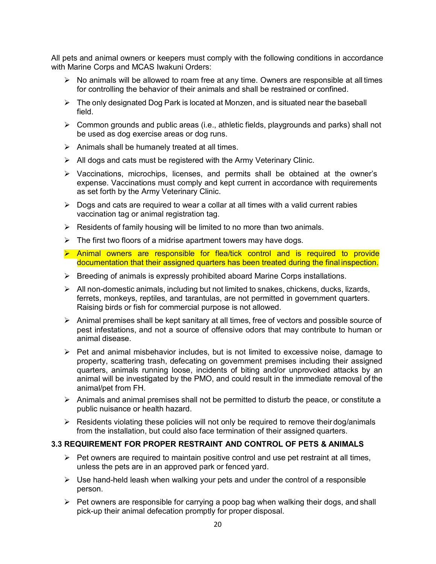All pets and animal owners or keepers must comply with the following conditions in accordance with Marine Corps and MCAS Iwakuni Orders:

- $\triangleright$  No animals will be allowed to roam free at any time. Owners are responsible at all times for controlling the behavior of their animals and shall be restrained or confined.
- $\triangleright$  The only designated Dog Park is located at Monzen, and is situated near the baseball field.
- $\triangleright$  Common grounds and public areas (i.e., athletic fields, playgrounds and parks) shall not be used as dog exercise areas or dog runs.
- $\triangleright$  Animals shall be humanely treated at all times.
- $\triangleright$  All dogs and cats must be registered with the Army Veterinary Clinic.
- Vaccinations, microchips, licenses, and permits shall be obtained at the owner's expense. Vaccinations must comply and kept current in accordance with requirements as set forth by the Army Veterinary Clinic.
- $\triangleright$  Dogs and cats are required to wear a collar at all times with a valid current rabies vaccination tag or animal registration tag.
- $\triangleright$  Residents of family housing will be limited to no more than two animals.
- $\triangleright$  The first two floors of a midrise apartment towers may have dogs.
- $\triangleright$  Animal owners are responsible for flea/tick control and is required to provide documentation that their assigned quarters has been treated during the final inspection.
- $\triangleright$  Breeding of animals is expressly prohibited aboard Marine Corps installations.
- $\triangleright$  All non-domestic animals, including but not limited to snakes, chickens, ducks, lizards, ferrets, monkeys, reptiles, and tarantulas, are not permitted in government quarters. Raising birds or fish for commercial purpose is not allowed.
- $\triangleright$  Animal premises shall be kept sanitary at all times, free of vectors and possible source of pest infestations, and not a source of offensive odors that may contribute to human or animal disease.
- $\triangleright$  Pet and animal misbehavior includes, but is not limited to excessive noise, damage to property, scattering trash, defecating on government premises including their assigned quarters, animals running loose, incidents of biting and/or unprovoked attacks by an animal will be investigated by the PMO, and could result in the immediate removal of the animal/pet from FH.
- $\triangleright$  Animals and animal premises shall not be permitted to disturb the peace, or constitute a public nuisance or health hazard.
- $\triangleright$  Residents violating these policies will not only be required to remove their dog/animals from the installation, but could also face termination of their assigned quarters.

#### **3.3 REQUIREMENT FOR PROPER RESTRAINT AND CONTROL OF PETS & ANIMALS**

- $\triangleright$  Pet owners are required to maintain positive control and use pet restraint at all times, unless the pets are in an approved park or fenced yard.
- $\triangleright$  Use hand-held leash when walking your pets and under the control of a responsible person.
- $\triangleright$  Pet owners are responsible for carrying a poop bag when walking their dogs, and shall pick-up their animal defecation promptly for proper disposal.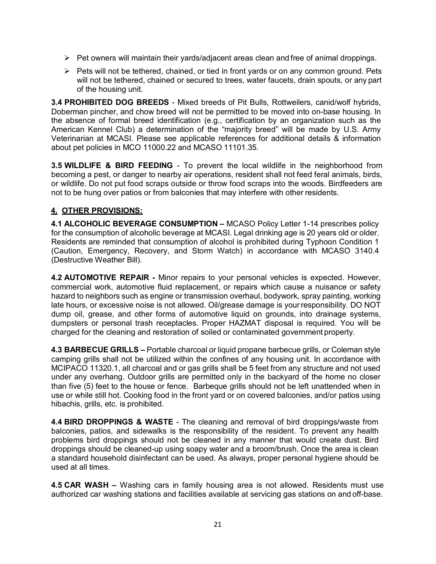- $\triangleright$  Pet owners will maintain their yards/adjacent areas clean and free of animal droppings.
- $\triangleright$  Pets will not be tethered, chained, or tied in front yards or on any common ground. Pets will not be tethered, chained or secured to trees, water faucets, drain spouts, or any part of the housing unit.

**3.4 PROHIBITED DOG BREEDS** - Mixed breeds of Pit Bulls, Rottweilers, canid/wolf hybrids, Doberman pincher, and chow breed will not be permitted to be moved into on-base housing. In the absence of formal breed identification (e.g., certification by an organization such as the American Kennel Club) a determination of the "majority breed" will be made by U.S. Army Veterinarian at MCASI. Please see applicable references for additional details & information about pet policies in MCO 11000.22 and MCASO 11101.35.

**3.5 WILDLIFE & BIRD FEEDING** - To prevent the local wildlife in the neighborhood from becoming a pest, or danger to nearby air operations, resident shall not feed feral animals, birds, or wildlife. Do not put food scraps outside or throw food scraps into the woods. Birdfeeders are not to be hung over patios or from balconies that may interfere with other residents.

#### **4. OTHER PROVISIONS:**

**4.1 ALCOHOLIC BEVERAGE CONSUMPTION –** MCASO Policy Letter 1-14 prescribes policy for the consumption of alcoholic beverage at MCASI. Legal drinking age is 20 years old or older. Residents are reminded that consumption of alcohol is prohibited during Typhoon Condition 1 (Caution, Emergency, Recovery, and Storm Watch) in accordance with MCASO 3140.4 (Destructive Weather Bill).

**4.2 AUTOMOTIVE REPAIR -** Minor repairs to your personal vehicles is expected. However, commercial work, automotive fluid replacement, or repairs which cause a nuisance or safety hazard to neighbors such as engine or transmission overhaul, bodywork, spray painting, working late hours, or excessive noise is not allowed. Oil/grease damage is yourresponsibility. DO NOT dump oil, grease, and other forms of automotive liquid on grounds, into drainage systems, dumpsters or personal trash receptacles. Proper HAZMAT disposal is required. You will be charged for the cleaning and restoration of soiled or contaminated government property.

**4.3 BARBECUE GRILLS –** Portable charcoal or liquid propane barbecue grills, or Coleman style camping grills shall not be utilized within the confines of any housing unit. In accordance with MCIPACO 11320.1, all charcoal and or gas grills shall be 5 feet from any structure and not used under any overhang. Outdoor grills are permitted only in the backyard of the home no closer than five (5) feet to the house or fence. Barbeque grills should not be left unattended when in use or while still hot. Cooking food in the front yard or on covered balconies, and/or patios using hibachis, grills, etc. is prohibited.

**4.4 BIRD DROPPINGS & WASTE** - The cleaning and removal of bird droppings/waste from balconies, patios, and sidewalks is the responsibility of the resident. To prevent any health problems bird droppings should not be cleaned in any manner that would create dust. Bird droppings should be cleaned-up using soapy water and a broom/brush. Once the area is clean a standard household disinfectant can be used. As always, proper personal hygiene should be used at all times.

**4.5 CAR WASH –** Washing cars in family housing area is not allowed. Residents must use authorized car washing stations and facilities available at servicing gas stations on and off-base.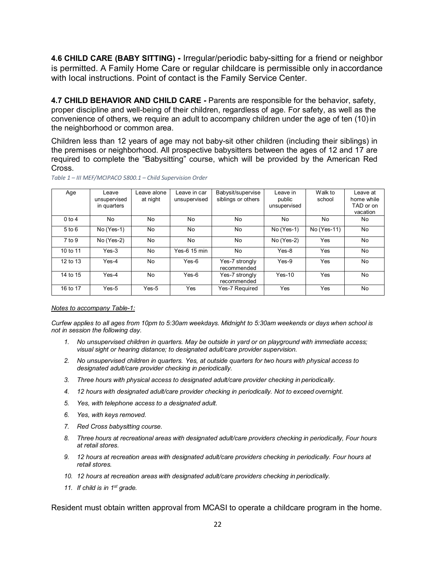**4.6 CHILD CARE (BABY SITTING) -** Irregular/periodic baby-sitting for a friend or neighbor is permitted. A Family Home Care or regular childcare is permissible only inaccordance with local instructions. Point of contact is the Family Service Center.

**4.7 CHILD BEHAVIOR AND CHILD CARE** *-* Parents are responsible for the behavior, safety, proper discipline and well-being of their children, regardless of age. For safety, as well as the convenience of others, we require an adult to accompany children under the age of ten (10) in the neighborhood or common area.

Children less than 12 years of age may not baby-sit other children (including their siblings) in the premises or neighborhood. All prospective babysitters between the ages of 12 and 17 are required to complete the "Babysitting" course, which will be provided by the American Red Cross.

| Age        | Leave        | Leave alone | Leave in car | Babysit/supervise  | Leave in     | Walk to     | Leave at   |
|------------|--------------|-------------|--------------|--------------------|--------------|-------------|------------|
|            | unsupervised | at night    | unsupervised | siblings or others | public       | school      | home while |
|            | in quarters  |             |              |                    | unsupervised |             | TAD or on  |
|            |              |             |              |                    |              |             |            |
|            |              |             |              |                    |              |             | vacation   |
| $0$ to 4   | No           | No.         | No           | No                 | No           | No          | No.        |
|            |              |             |              |                    |              |             |            |
| $5$ to $6$ | $No(Yes-1)$  | No          | No           | No                 | $No(Yes-1)$  | No (Yes-11) | No         |
|            |              |             |              |                    |              |             |            |
| $7$ to $9$ | No (Yes-2)   | No          | No           | No                 | No (Yes-2)   | Yes         | No         |
|            |              |             |              |                    |              |             |            |
| 10 to 11   | $Yes-3$      | No          | Yes-6 15 min | No                 | $Yes-8$      | Yes         | No         |
|            |              |             |              |                    |              |             |            |
| 12 to 13   | $Yes-4$      | No          | $Yes-6$      | Yes-7 strongly     | $Yes-9$      | Yes         | No         |
|            |              |             |              | recommended        |              |             |            |
| 14 to 15   | $Yes-4$      | No.         | $Yes-6$      |                    | $Yes-10$     | Yes         | No         |
|            |              |             |              | Yes-7 strongly     |              |             |            |
|            |              |             |              | recommended        |              |             |            |
| 16 to 17   | $Yes-5$      | $Yes-5$     | Yes          | Yes-7 Required     | Yes          | Yes         | No         |
|            |              |             |              |                    |              |             |            |

*Table 1 – III MEF/MCIPACO 5800.1 – Child Supervision Order*

#### *Notes to accompany Table-1:*

*Curfew applies to all ages from 10pm to 5:30am weekdays. Midnight to 5:30am weekends or days when school is not in session the following day.*

- *1. No unsupervised children in quarters. May be outside in yard or on playground with immediate access; visual sight or hearing distance; to designated adult/care provider supervision.*
- *2. No unsupervised children in quarters. Yes, at outside quarters for two hours with physical access to designated adult/care provider checking in periodically.*
- *3. Three hours with physical access to designated adult/care provider checking in periodically.*
- *4. 12 hours with designated adult/care provider checking in periodically. Not to exceed overnight.*
- *5. Yes, with telephone access to a designated adult.*
- *6. Yes, with keys removed.*
- *7. Red Cross babysitting course.*
- *8. Three hours at recreational areas with designated adult/care providers checking in periodically, Four hours at retail stores.*
- *9. 12 hours at recreation areas with designated adult/care providers checking in periodically. Four hours at retail stores.*
- *10. 12 hours at recreation areas with designated adult/care providers checking in periodically.*
- *11. If child is in 1st grade.*

Resident must obtain written approval from MCASI to operate a childcare program in the home.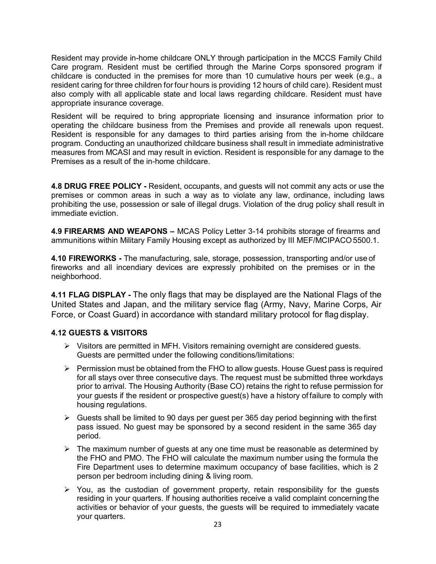Resident may provide in-home childcare ONLY through participation in the MCCS Family Child Care program. Resident must be certified through the Marine Corps sponsored program if childcare is conducted in the premises for more than 10 cumulative hours per week (e.g., a resident caring for three children for four hours is providing 12 hours of child care). Resident must also comply with all applicable state and local laws regarding childcare. Resident must have appropriate insurance coverage.

Resident will be required to bring appropriate licensing and insurance information prior to operating the childcare business from the Premises and provide all renewals upon request. Resident is responsible for any damages to third parties arising from the in-home childcare program. Conducting an unauthorized childcare business shall result in immediate administrative measures from MCASI and may result in eviction. Resident is responsible for any damage to the Premises as a result of the in-home childcare.

**4.8 DRUG FREE POLICY -** Resident, occupants, and guests will not commit any acts or use the premises or common areas in such a way as to violate any law, ordinance, including laws prohibiting the use, possession or sale of illegal drugs. Violation of the drug policy shall result in immediate eviction.

**4.9 FIREARMS AND WEAPONS –** MCAS Policy Letter 3-14 prohibits storage of firearms and ammunitions within Military Family Housing except as authorized by III MEF/MCIPACO5500.1.

**4.10 FIREWORKS -** The manufacturing, sale, storage, possession, transporting and/or use of fireworks and all incendiary devices are expressly prohibited on the premises or in the neighborhood.

**4.11 FLAG DISPLAY -** The only flags that may be displayed are the National Flags of the United States and Japan, and the military service flag (Army, Navy, Marine Corps, Air Force, or Coast Guard) in accordance with standard military protocol for flag display.

#### **4.12 GUESTS & VISITORS**

- $\triangleright$  Visitors are permitted in MFH. Visitors remaining overnight are considered guests. Guests are permitted under the following conditions/limitations:
- $\triangleright$  Permission must be obtained from the FHO to allow guests. House Guest pass is required for all stays over three consecutive days. The request must be submitted three workdays prior to arrival. The Housing Authority (Base CO) retains the right to refuse permission for your guests if the resident or prospective guest(s) have a history of failure to comply with housing regulations.
- $\triangleright$  Guests shall be limited to 90 days per guest per 365 day period beginning with the first pass issued. No guest may be sponsored by a second resident in the same 365 day period.
- $\triangleright$  The maximum number of quests at any one time must be reasonable as determined by the FHO and PMO. The FHO will calculate the maximum number using the formula the Fire Department uses to determine maximum occupancy of base facilities, which is 2 person per bedroom including dining & living room.
- $\triangleright$  You, as the custodian of government property, retain responsibility for the guests residing in your quarters. If housing authorities receive a valid complaint concerning the activities or behavior of your guests, the guests will be required to immediately vacate your quarters.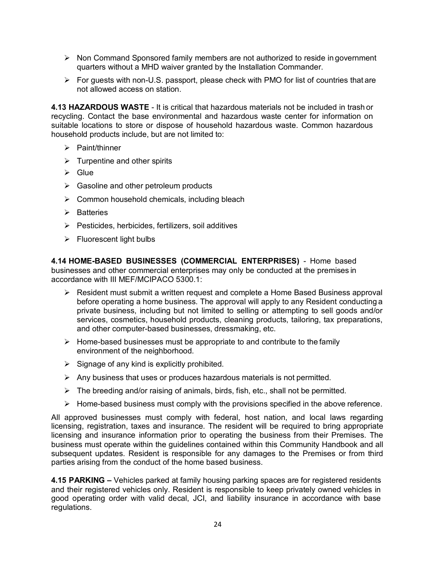- $\triangleright$  Non Command Sponsored family members are not authorized to reside in government quarters without a MHD waiver granted by the Installation Commander.
- $\triangleright$  For guests with non-U.S. passport, please check with PMO for list of countries that are not allowed access on station.

**4.13 HAZARDOUS WASTE** - It is critical that hazardous materials not be included in trash or recycling. Contact the base environmental and hazardous waste center for information on suitable locations to store or dispose of household hazardous waste. Common hazardous household products include, but are not limited to:

- $\triangleright$  Paint/thinner
- $\triangleright$  Turpentine and other spirits
- $\triangleright$  Glue
- $\triangleright$  Gasoline and other petroleum products
- $\triangleright$  Common household chemicals, including bleach
- $\triangleright$  Batteries
- $\triangleright$  Pesticides, herbicides, fertilizers, soil additives
- $\triangleright$  Fluorescent light bulbs

**4.14 HOME-BASED BUSINESSES (COMMERCIAL ENTERPRISES)** - Home based businesses and other commercial enterprises may only be conducted at the premises in accordance with III MEF/MCIPACO 5300.1:

- $\triangleright$  Resident must submit a written request and complete a Home Based Business approval before operating a home business. The approval will apply to any Resident conducting a private business, including but not limited to selling or attempting to sell goods and/or services, cosmetics, household products, cleaning products, tailoring, tax preparations, and other computer-based businesses, dressmaking, etc.
- $\triangleright$  Home-based businesses must be appropriate to and contribute to the family environment of the neighborhood.
- $\triangleright$  Signage of any kind is explicitly prohibited.
- $\triangleright$  Any business that uses or produces hazardous materials is not permitted.
- $\triangleright$  The breeding and/or raising of animals, birds, fish, etc., shall not be permitted.
- $\triangleright$  Home-based business must comply with the provisions specified in the above reference.

All approved businesses must comply with federal, host nation, and local laws regarding licensing, registration, taxes and insurance. The resident will be required to bring appropriate licensing and insurance information prior to operating the business from their Premises. The business must operate within the guidelines contained within this Community Handbook and all subsequent updates. Resident is responsible for any damages to the Premises or from third parties arising from the conduct of the home based business.

**4.15 PARKING –** Vehicles parked at family housing parking spaces are for registered residents and their registered vehicles only. Resident is responsible to keep privately owned vehicles in good operating order with valid decal, JCI, and liability insurance in accordance with base regulations.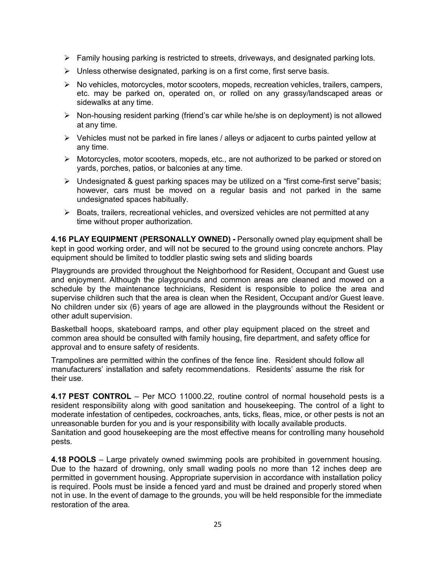- $\triangleright$  Family housing parking is restricted to streets, driveways, and designated parking lots.
- $\triangleright$  Unless otherwise designated, parking is on a first come, first serve basis.
- $\triangleright$  No vehicles, motorcycles, motor scooters, mopeds, recreation vehicles, trailers, campers, etc. may be parked on, operated on, or rolled on any grassy/landscaped areas or sidewalks at any time.
- $\triangleright$  Non-housing resident parking (friend's car while he/she is on deployment) is not allowed at any time.
- $\triangleright$  Vehicles must not be parked in fire lanes / alleys or adjacent to curbs painted yellow at any time.
- $\triangleright$  Motorcycles, motor scooters, mopeds, etc., are not authorized to be parked or stored on yards, porches, patios, or balconies at any time.
- $\triangleright$  Undesignated & quest parking spaces may be utilized on a "first come-first serve" basis; however, cars must be moved on a regular basis and not parked in the same undesignated spaces habitually.
- $\triangleright$  Boats, trailers, recreational vehicles, and oversized vehicles are not permitted at any time without proper authorization.

**4.16 PLAY EQUIPMENT (PERSONALLY OWNED) -** Personally owned play equipment shall be kept in good working order, and will not be secured to the ground using concrete anchors. Play equipment should be limited to toddler plastic swing sets and sliding boards

Playgrounds are provided throughout the Neighborhood for Resident, Occupant and Guest use and enjoyment. Although the playgrounds and common areas are cleaned and mowed on a schedule by the maintenance technicians, Resident is responsible to police the area and supervise children such that the area is clean when the Resident, Occupant and/or Guest leave. No children under six (6) years of age are allowed in the playgrounds without the Resident or other adult supervision.

Basketball hoops, skateboard ramps, and other play equipment placed on the street and common area should be consulted with family housing, fire department, and safety office for approval and to ensure safety of residents.

Trampolines are permitted within the confines of the fence line. Resident should follow all manufacturers' installation and safety recommendations. Residents' assume the risk for their use.

**4.17 PEST CONTROL** – Per MCO 11000.22, routine control of normal household pests is a resident responsibility along with good sanitation and housekeeping. The control of a light to moderate infestation of centipedes, cockroaches, ants, ticks, fleas, mice, or other pests is not an unreasonable burden for you and is your responsibility with locally available products. Sanitation and good housekeeping are the most effective means for controlling many household pests.

**4.18 POOLS** – Large privately owned swimming pools are prohibited in government housing. Due to the hazard of drowning, only small wading pools no more than 12 inches deep are permitted in government housing. Appropriate supervision in accordance with installation policy is required. Pools must be inside a fenced yard and must be drained and properly stored when not in use. In the event of damage to the grounds, you will be held responsible for the immediate restoration of the area.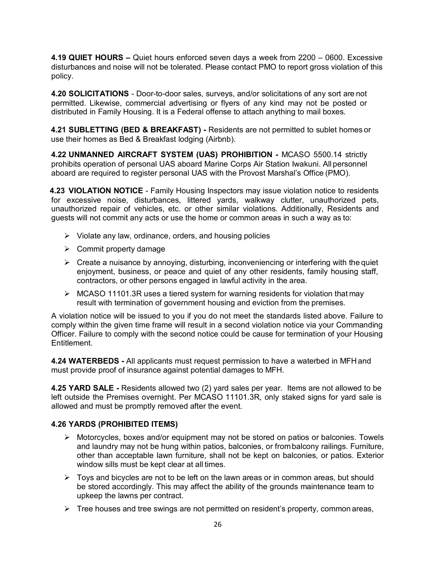**4.19 QUIET HOURS –** Quiet hours enforced seven days a week from 2200 – 0600. Excessive disturbances and noise will not be tolerated. Please contact PMO to report gross violation of this policy.

**4.20 SOLICITATIONS** - Door-to-door sales, surveys, and/or solicitations of any sort are not permitted. Likewise, commercial advertising or flyers of any kind may not be posted or distributed in Family Housing. It is a Federal offense to attach anything to mail boxes.

**4.21 SUBLETTING (BED & BREAKFAST) -** Residents are not permitted to sublet homes or use their homes as Bed & Breakfast lodging (Airbnb).

**4.22 UNMANNED AIRCRAFT SYSTEM (UAS) PROHIBITION -** MCASO 5500.14 strictly prohibits operation of personal UAS aboard Marine Corps Air Station Iwakuni. All personnel aboard are required to register personal UAS with the Provost Marshal's Office (PMO).

**4.23 VIOLATION NOTICE** - Family Housing Inspectors may issue violation notice to residents for excessive noise, disturbances, littered yards, walkway clutter, unauthorized pets, unauthorized repair of vehicles, etc. or other similar violations. Additionally, Residents and guests will not commit any acts or use the home or common areas in such a way as to:

- $\triangleright$  Violate any law, ordinance, orders, and housing policies
- $\triangleright$  Commit property damage
- $\triangleright$  Create a nuisance by annoying, disturbing, inconveniencing or interfering with the quiet enjoyment, business, or peace and quiet of any other residents, family housing staff, contractors, or other persons engaged in lawful activity in the area.
- $\triangleright$  MCASO 11101.3R uses a tiered system for warning residents for violation that may result with termination of government housing and eviction from the premises.

A violation notice will be issued to you if you do not meet the standards listed above. Failure to comply within the given time frame will result in a second violation notice via your Commanding Officer. Failure to comply with the second notice could be cause for termination of your Housing Entitlement.

**4.24 WATERBEDS -** All applicants must request permission to have a waterbed in MFH and must provide proof of insurance against potential damages to MFH.

**4.25 YARD SALE -** Residents allowed two (2) yard sales per year. Items are not allowed to be left outside the Premises overnight. Per MCASO 11101.3R, only staked signs for yard sale is allowed and must be promptly removed after the event.

#### **4.26 YARDS (PROHIBITED ITEMS)**

- $\triangleright$  Motorcycles, boxes and/or equipment may not be stored on patios or balconies. Towels and laundry may not be hung within patios, balconies, or frombalcony railings. Furniture, other than acceptable lawn furniture, shall not be kept on balconies, or patios. Exterior window sills must be kept clear at all times.
- $\triangleright$  Toys and bicycles are not to be left on the lawn areas or in common areas, but should be stored accordingly. This may affect the ability of the grounds maintenance team to upkeep the lawns per contract.
- $\triangleright$  Tree houses and tree swings are not permitted on resident's property, common areas,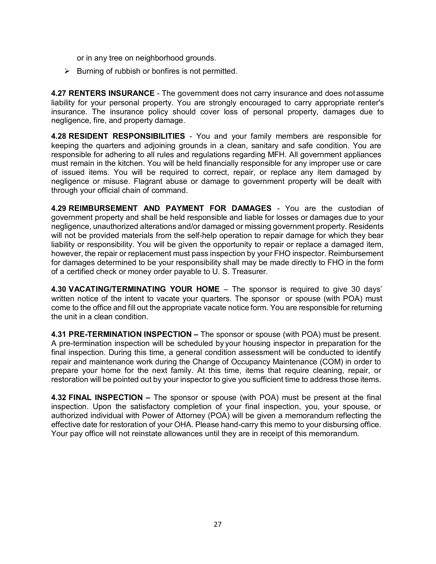or in any tree on neighborhood grounds.

 $\triangleright$  Burning of rubbish or bonfires is not permitted.

**4.27 RENTERS INSURANCE** - The government does not carry insurance and does not assume liability for your personal property. You are strongly encouraged to carry appropriate renter's insurance. The insurance policy should cover loss of personal property, damages due to negligence, fire, and property damage.

**4.28 RESIDENT RESPONSIBILITIES** - You and your family members are responsible for keeping the quarters and adjoining grounds in a clean, sanitary and safe condition. You are responsible for adhering to all rules and regulations regarding MFH. All government appliances must remain in the kitchen. You will be held financially responsible for any improper use or care of issued items. You will be required to correct, repair, or replace any item damaged by negligence or misuse. Flagrant abuse or damage to government property will be dealt with through your official chain of command.

**4.29 REIMBURSEMENT AND PAYMENT FOR DAMAGES** - You are the custodian of government property and shall be held responsible and liable for losses or damages due to your negligence, unauthorized alterations and/or damaged or missing government property. Residents will not be provided materials from the self-help operation to repair damage for which they bear liability or responsibility. You will be given the opportunity to repair or replace a damaged item, however, the repair or replacement must pass inspection by your FHO inspector. Reimbursement for damages determined to be your responsibility shall may be made directly to FHO in the form of a certified check or money order payable to U. S. Treasurer.

**4.30 VACATING/TERMINATING YOUR HOME** – The sponsor is required to give 30 days' written notice of the intent to vacate your quarters. The sponsor or spouse (with POA) must come to the office and fill out the appropriate vacate notice form. You are responsible for returning the unit in a clean condition.

**4.31 PRE-TERMINATION INSPECTION –** The sponsor or spouse (with POA) must be present. A pre-termination inspection will be scheduled by your housing inspector in preparation for the final inspection. During this time, a general condition assessment will be conducted to identify repair and maintenance work during the Change of Occupancy Maintenance (COM) in order to prepare your home for the next family. At this time, items that require cleaning, repair, or restoration will be pointed out by your inspector to give you sufficient time to address those items.

**4.32 FINAL INSPECTION –** The sponsor or spouse (with POA) must be present at the final inspection. Upon the satisfactory completion of your final inspection, you, your spouse, or authorized individual with Power of Attorney (POA) will be given a memorandum reflecting the effective date for restoration of your OHA. Please hand-carry this memo to your disbursing office. Your pay office will not reinstate allowances until they are in receipt of this memorandum.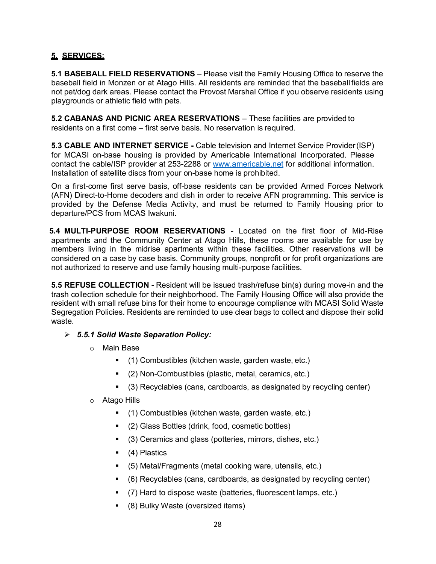#### **5. SERVICES:**

**5.1 BASEBALL FIELD RESERVATIONS** – Please visit the Family Housing Office to reserve the baseball field in Monzen or at Atago Hills. All residents are reminded that the baseballfields are not pet/dog dark areas. Please contact the Provost Marshal Office if you observe residents using playgrounds or athletic field with pets.

**5.2 CABANAS AND PICNIC AREA RESERVATIONS** – These facilities are provided to residents on a first come – first serve basis. No reservation is required.

**5.3 CABLE AND INTERNET SERVICE -** Cable television and Internet Service Provider(ISP) for MCASI on-base housing is provided by Americable International Incorporated. Please contact the cable/ISP provider at 253-2288 or [www.americable.net](http://www.americable.net/) for additional information. Installation of satellite discs from your on-base home is prohibited.

On a first-come first serve basis, off-base residents can be provided Armed Forces Network (AFN) Direct-to-Home decoders and dish in order to receive AFN programming. This service is provided by the Defense Media Activity, and must be returned to Family Housing prior to departure/PCS from MCAS Iwakuni.

**5.4 MULTI-PURPOSE ROOM RESERVATIONS** - Located on the first floor of Mid-Rise apartments and the Community Center at Atago Hills, these rooms are available for use by members living in the midrise apartments within these facilities. Other reservations will be considered on a case by case basis. Community groups, nonprofit or for profit organizations are not authorized to reserve and use family housing multi-purpose facilities.

**5.5 REFUSE COLLECTION -** Resident will be issued trash/refuse bin(s) during move-in and the trash collection schedule for their neighborhood. The Family Housing Office will also provide the resident with small refuse bins for their home to encourage compliance with MCASI Solid Waste Segregation Policies. Residents are reminded to use clear bags to collect and dispose their solid waste.

- *5.5.1 Solid Waste Separation Policy:*
	- o Main Base
		- (1) Combustibles (kitchen waste, garden waste, etc.)
		- (2) Non-Combustibles (plastic, metal, ceramics, etc.)
		- (3) Recyclables (cans, cardboards, as designated by recycling center)
	- o Atago Hills
		- (1) Combustibles (kitchen waste, garden waste, etc.)
		- (2) Glass Bottles (drink, food, cosmetic bottles)
		- (3) Ceramics and glass (potteries, mirrors, dishes, etc.)
		- (4) Plastics
		- (5) Metal/Fragments (metal cooking ware, utensils, etc.)
		- (6) Recyclables (cans, cardboards, as designated by recycling center)
		- (7) Hard to dispose waste (batteries, fluorescent lamps, etc.)
		- (8) Bulky Waste (oversized items)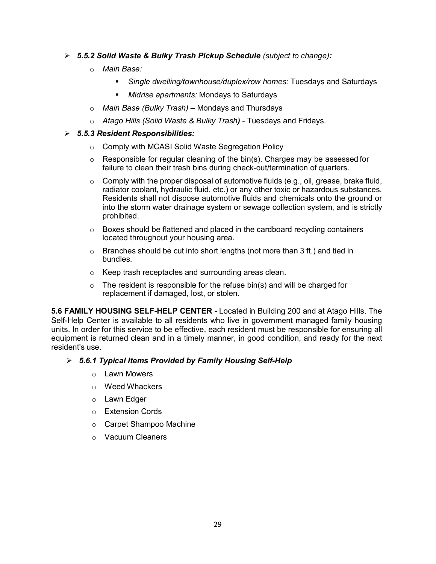#### *5.5.2 Solid Waste & Bulky Trash Pickup Schedule (subject to change):*

- o *Main Base:*
	- *Single dwelling/townhouse/duplex/row homes:* Tuesdays and Saturdays
	- *Midrise apartments:* Mondays to Saturdays
- o *Main Base (Bulky Trash) –* Mondays and Thursdays
- o *Atago Hills (Solid Waste & Bulky Trash)*  Tuesdays and Fridays.

#### *5.5.3 Resident Responsibilities:*

- o Comply with MCASI Solid Waste Segregation Policy
- $\circ$  Responsible for regular cleaning of the bin(s). Charges may be assessed for failure to clean their trash bins during check-out/termination of quarters.
- $\circ$  Comply with the proper disposal of automotive fluids (e.g., oil, grease, brake fluid, radiator coolant, hydraulic fluid, etc.) or any other toxic or hazardous substances. Residents shall not dispose automotive fluids and chemicals onto the ground or into the storm water drainage system or sewage collection system, and is strictly prohibited.
- $\circ$  Boxes should be flattened and placed in the cardboard recycling containers located throughout your housing area.
- $\circ$  Branches should be cut into short lengths (not more than 3 ft.) and tied in bundles.
- o Keep trash receptacles and surrounding areas clean.
- $\circ$  The resident is responsible for the refuse bin(s) and will be charged for replacement if damaged, lost, or stolen.

**5.6 FAMILY HOUSING SELF-HELP CENTER -** Located in Building 200 and at Atago Hills. The Self-Help Center is available to all residents who live in government managed family housing units. In order for this service to be effective, each resident must be responsible for ensuring all equipment is returned clean and in a timely manner, in good condition, and ready for the next resident's use.

#### *5.6.1 Typical Items Provided by Family Housing Self-Help*

- o Lawn Mowers
- o Weed Whackers
- o Lawn Edger
- o Extension Cords
- o Carpet Shampoo Machine
- o Vacuum Cleaners